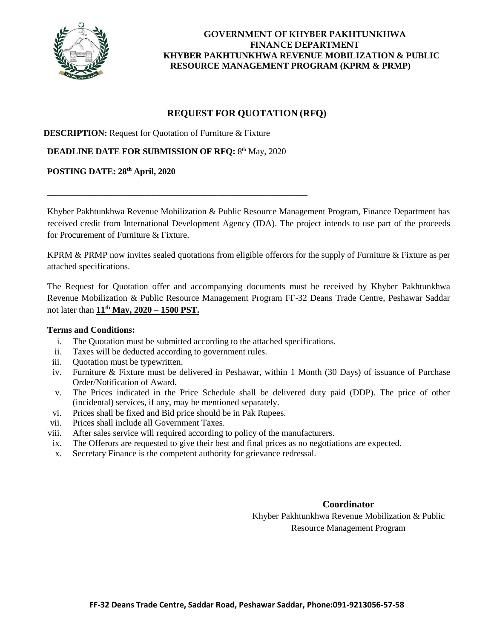

# **REQUEST FOR QUOTATION (RFQ)**

**DESCRIPTION:** Request for Quotation of Furniture & Fixture

**DEADLINE DATE FOR SUBMISSION OF RFQ: 8th May, 2020** 

\_\_\_\_\_\_\_\_\_\_\_\_\_\_\_\_\_\_\_\_\_\_\_\_\_\_\_\_\_\_\_\_\_\_\_\_\_\_\_\_\_\_\_\_\_\_\_\_\_\_\_\_\_\_\_\_\_\_\_\_

#### **POSTING DATE: 28th April, 2020**

Khyber Pakhtunkhwa Revenue Mobilization & Public Resource Management Program, Finance Department has received credit from International Development Agency (IDA). The project intends to use part of the proceeds for Procurement of Furniture & Fixture.

KPRM & PRMP now invites sealed quotations from eligible offerors for the supply of Furniture & Fixture as per attached specifications.

The Request for Quotation offer and accompanying documents must be received by Khyber Pakhtunkhwa Revenue Mobilization & Public Resource Management Program FF-32 Deans Trade Centre, Peshawar Saddar not later than **11th May, 2020 – 1500 PST.**

#### **Terms and Conditions:**

- i. The Quotation must be submitted according to the attached specifications.
- ii. Taxes will be deducted according to government rules.
- iii. Quotation must be typewritten.
- iv. Furniture & Fixture must be delivered in Peshawar, within 1 Month (30 Days) of issuance of Purchase Order/Notification of Award.
- v. The Prices indicated in the Price Schedule shall be delivered duty paid (DDP). The price of other (incidental) services, if any, may be mentioned separately.
- vi. Prices shall be fixed and Bid price should be in Pak Rupees.
- vii. Prices shall include all Government Taxes.
- viii. After sales service will required according to policy of the manufacturers.
- ix. The Offerors are requested to give their best and final prices as no negotiations are expected.
- x. Secretary Finance is the competent authority for grievance redressal.

#### **Coordinator**

Khyber Pakhtunkhwa Revenue Mobilization & Public Resource Management Program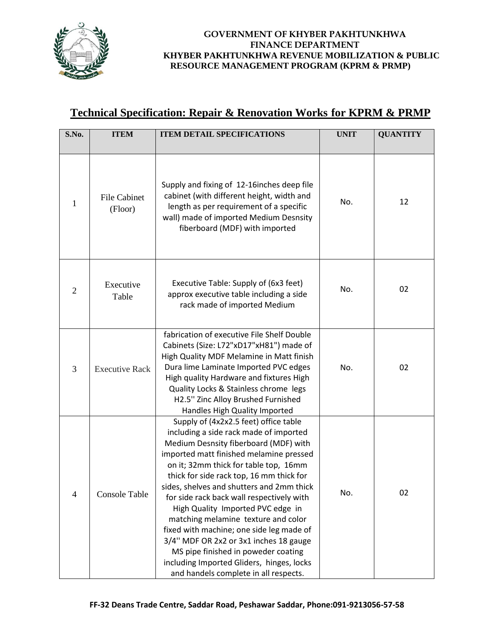

# **Technical Specification: Repair & Renovation Works for KPRM & PRMP**

| S.No.          | <b>ITEM</b>                    | <b>ITEM DETAIL SPECIFICATIONS</b>                                                                                                                                                                                                                                                                                                                                                                                                                                                                                                                                                                                                                 | <b>UNIT</b> | <b>QUANTITY</b> |
|----------------|--------------------------------|---------------------------------------------------------------------------------------------------------------------------------------------------------------------------------------------------------------------------------------------------------------------------------------------------------------------------------------------------------------------------------------------------------------------------------------------------------------------------------------------------------------------------------------------------------------------------------------------------------------------------------------------------|-------------|-----------------|
| 1              | <b>File Cabinet</b><br>(Floor) | Supply and fixing of 12-16inches deep file<br>cabinet (with different height, width and<br>length as per requirement of a specific<br>wall) made of imported Medium Desnsity<br>fiberboard (MDF) with imported                                                                                                                                                                                                                                                                                                                                                                                                                                    | No.         | 12              |
| $\overline{2}$ | Executive<br>Table             | Executive Table: Supply of (6x3 feet)<br>approx executive table including a side<br>rack made of imported Medium                                                                                                                                                                                                                                                                                                                                                                                                                                                                                                                                  | No.         | 02              |
| 3              | <b>Executive Rack</b>          | fabrication of executive File Shelf Double<br>Cabinets (Size: L72"xD17"xH81") made of<br>High Quality MDF Melamine in Matt finish<br>Dura lime Laminate Imported PVC edges<br>High quality Hardware and fixtures High<br>Quality Locks & Stainless chrome legs<br>H2.5" Zinc Alloy Brushed Furnished<br>Handles High Quality Imported                                                                                                                                                                                                                                                                                                             | No.         | 02              |
| 4              | <b>Console Table</b>           | Supply of (4x2x2.5 feet) office table<br>including a side rack made of imported<br>Medium Desnsity fiberboard (MDF) with<br>imported matt finished melamine pressed<br>on it; 32mm thick for table top, 16mm<br>thick for side rack top, 16 mm thick for<br>sides, shelves and shutters and 2mm thick<br>for side rack back wall respectively with<br>High Quality Imported PVC edge in<br>matching melamine texture and color<br>fixed with machine; one side leg made of<br>3/4" MDF OR 2x2 or 3x1 inches 18 gauge<br>MS pipe finished in poweder coating<br>including Imported Gliders, hinges, locks<br>and handels complete in all respects. | No.         | 02              |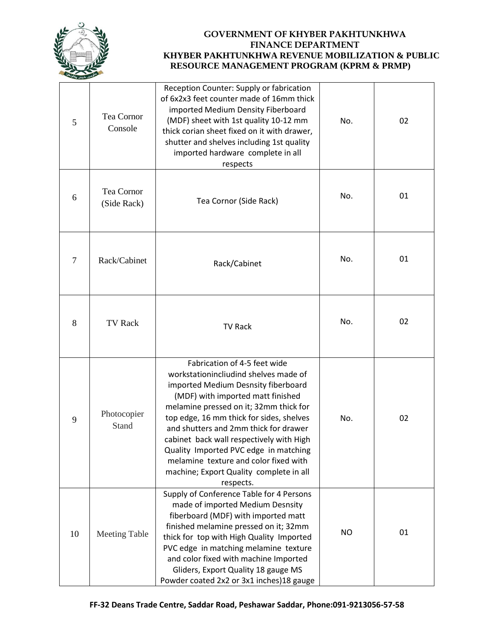

| 5              | Tea Cornor<br>Console       | Reception Counter: Supply or fabrication<br>of 6x2x3 feet counter made of 16mm thick<br>imported Medium Density Fiberboard<br>(MDF) sheet with 1st quality 10-12 mm<br>thick corian sheet fixed on it with drawer,<br>shutter and shelves including 1st quality<br>imported hardware complete in all<br>respects                                                                                                                                                       | No.       | 02 |
|----------------|-----------------------------|------------------------------------------------------------------------------------------------------------------------------------------------------------------------------------------------------------------------------------------------------------------------------------------------------------------------------------------------------------------------------------------------------------------------------------------------------------------------|-----------|----|
| 6              | Tea Cornor<br>(Side Rack)   | Tea Cornor (Side Rack)                                                                                                                                                                                                                                                                                                                                                                                                                                                 | No.       | 01 |
| $\overline{7}$ | Rack/Cabinet                | Rack/Cabinet                                                                                                                                                                                                                                                                                                                                                                                                                                                           | No.       | 01 |
| 8              | <b>TV Rack</b>              | <b>TV Rack</b>                                                                                                                                                                                                                                                                                                                                                                                                                                                         | No.       | 02 |
| 9              | Photocopier<br><b>Stand</b> | Fabrication of 4-5 feet wide<br>workstationincliudind shelves made of<br>imported Medium Desnsity fiberboard<br>(MDF) with imported matt finished<br>melamine pressed on it; 32mm thick for<br>top edge, 16 mm thick for sides, shelves<br>and shutters and 2mm thick for drawer<br>cabinet back wall respectively with High<br>Quality Imported PVC edge in matching<br>melamine texture and color fixed with<br>machine; Export Quality complete in all<br>respects. | No.       | 02 |
| 10             | <b>Meeting Table</b>        | Supply of Conference Table for 4 Persons<br>made of imported Medium Desnsity<br>fiberboard (MDF) with imported matt<br>finished melamine pressed on it; 32mm<br>thick for top with High Quality Imported<br>PVC edge in matching melamine texture<br>and color fixed with machine Imported<br>Gliders, Export Quality 18 gauge MS<br>Powder coated 2x2 or 3x1 inches) 18 gauge                                                                                         | <b>NO</b> | 01 |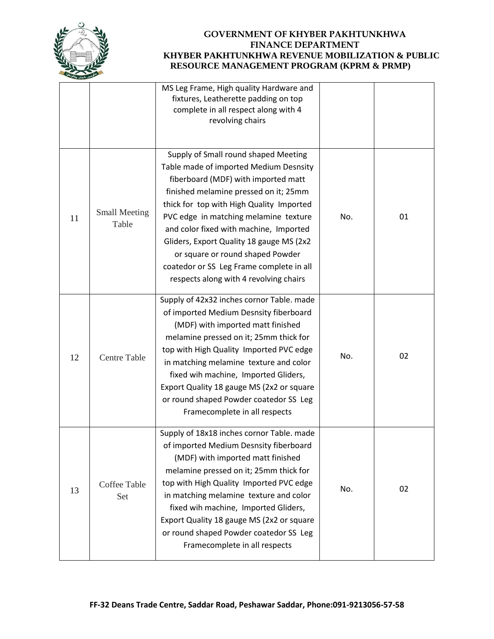

|    |                               | MS Leg Frame, High quality Hardware and<br>fixtures, Leatherette padding on top<br>complete in all respect along with 4<br>revolving chairs                                                                                                                                                                                                                                                                                                                         |     |    |
|----|-------------------------------|---------------------------------------------------------------------------------------------------------------------------------------------------------------------------------------------------------------------------------------------------------------------------------------------------------------------------------------------------------------------------------------------------------------------------------------------------------------------|-----|----|
| 11 | <b>Small Meeting</b><br>Table | Supply of Small round shaped Meeting<br>Table made of imported Medium Desnsity<br>fiberboard (MDF) with imported matt<br>finished melamine pressed on it; 25mm<br>thick for top with High Quality Imported<br>PVC edge in matching melamine texture<br>and color fixed with machine, Imported<br>Gliders, Export Quality 18 gauge MS (2x2<br>or square or round shaped Powder<br>coatedor or SS Leg Frame complete in all<br>respects along with 4 revolving chairs | No. | 01 |
| 12 | <b>Centre Table</b>           | Supply of 42x32 inches cornor Table. made<br>of imported Medium Desnsity fiberboard<br>(MDF) with imported matt finished<br>melamine pressed on it; 25mm thick for<br>top with High Quality Imported PVC edge<br>in matching melamine texture and color<br>fixed wih machine, Imported Gliders,<br>Export Quality 18 gauge MS (2x2 or square<br>or round shaped Powder coatedor SS Leg<br>Framecomplete in all respects                                             | No. | 02 |
| 13 | Coffee Table<br>Set           | Supply of 18x18 inches cornor Table. made<br>of imported Medium Desnsity fiberboard<br>(MDF) with imported matt finished<br>melamine pressed on it; 25mm thick for<br>top with High Quality Imported PVC edge<br>in matching melamine texture and color<br>fixed wih machine, Imported Gliders,<br>Export Quality 18 gauge MS (2x2 or square<br>or round shaped Powder coatedor SS Leg<br>Framecomplete in all respects                                             | No. | 02 |